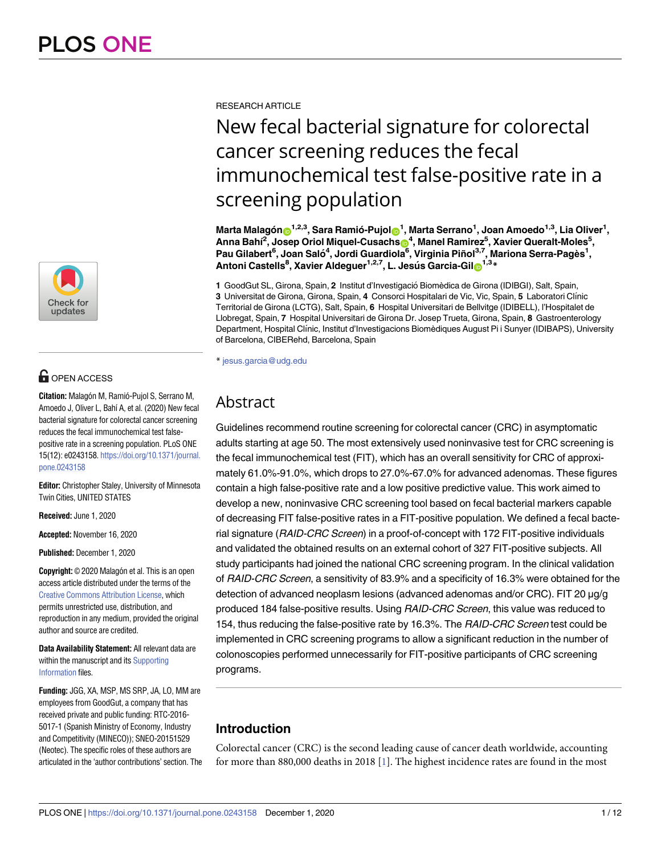

# **OPEN ACCESS**

**Citation:** Malagón M, Ramió-Pujol S, Serrano M, Amoedo J, Oliver L, Bahí A, et al. (2020) New fecal bacterial signature for colorectal cancer screening reduces the fecal immunochemical test falsepositive rate in a screening population. PLoS ONE 15(12): e0243158. [https://doi.org/10.1371/journal.](https://doi.org/10.1371/journal.pone.0243158) [pone.0243158](https://doi.org/10.1371/journal.pone.0243158)

**Editor:** Christopher Staley, University of Minnesota Twin Cities, UNITED STATES

**Received:** June 1, 2020

**Accepted:** November 16, 2020

**Published:** December 1, 2020

**Copyright:** © 2020 Malagón et al. This is an open access article distributed under the terms of the Creative Commons [Attribution](http://creativecommons.org/licenses/by/4.0/) License, which permits unrestricted use, distribution, and reproduction in any medium, provided the original author and source are credited.

**Data Availability Statement:** All relevant data are within the manuscript and its [Supporting](#page-8-0) [Information](#page-8-0) files.

**Funding:** JGG, XA, MSP, MS SRP, JA, LO, MM are employees from GoodGut, a company that has received private and public funding: RTC-2016- 5017-1 (Spanish Ministry of Economy, Industry and Competitivity (MINECO)); SNEO-20151529 (Neotec). The specific roles of these authors are articulated in the 'author contributions' section. The <span id="page-0-0"></span>RESEARCH ARTICLE

# New fecal bacterial signature for colorectal cancer screening reduces the fecal immunochemical test false-positive rate in a screening population

 $\blacksquare$ Marta Malagón $\blacksquare^{1,2,3}$ , Sara Ramió-Pujol $\blacksquare^1$ , Marta Serrano $^1$ , Joan Amoedo $^{1,3}$ , Lia Oliver $^1$ , **Anna Bahı´ 2 , Josep Oriol Miquel-Cusachs[ID4](https://orcid.org/0000-0003-3482-2726) , Manel Ramirez5 , Xavier Queralt-Moles5 , Pau Gilabert6 , Joan Salo´ <sup>4</sup> , Jordi Guardiola6 , Virginia Piñol3,7, Mariona Serra-Pagès1 , Antoni Castells8 , Xavier Aldeguer1,2,7, L. Jesu´ s Garcia-Gil[ID1](https://orcid.org/0000-0002-5064-8361),3\***

**1** GoodGut SL, Girona, Spain, **2** Institut d'Investigacio´ Biomèdica de Girona (IDIBGI), Salt, Spain, **3** Universitat de Girona, Girona, Spain, **4** Consorci Hospitalari de Vic, Vic, Spain, **5** Laboratori Clı´nic Territorial de Girona (LCTG), Salt, Spain, **6** Hospital Universitari de Bellvitge (IDIBELL), l'Hospitalet de Llobregat, Spain, **7** Hospital Universitari de Girona Dr. Josep Trueta, Girona, Spain, **8** Gastroenterology Department, Hospital Clı´nic, Institut d'Investigacions Biomèdiques August Pi i Sunyer (IDIBAPS), University of Barcelona, CIBERehd, Barcelona, Spain

\* jesus.garcia@udg.edu

# Abstract

Guidelines recommend routine screening for colorectal cancer (CRC) in asymptomatic adults starting at age 50. The most extensively used noninvasive test for CRC screening is the fecal immunochemical test (FIT), which has an overall sensitivity for CRC of approximately 61.0%-91.0%, which drops to 27.0%-67.0% for advanced adenomas. These figures contain a high false-positive rate and a low positive predictive value. This work aimed to develop a new, noninvasive CRC screening tool based on fecal bacterial markers capable of decreasing FIT false-positive rates in a FIT-positive population. We defined a fecal bacterial signature (RAID-CRC Screen) in a proof-of-concept with 172 FIT-positive individuals and validated the obtained results on an external cohort of 327 FIT-positive subjects. All study participants had joined the national CRC screening program. In the clinical validation of RAID-CRC Screen, a sensitivity of 83.9% and a specificity of 16.3% were obtained for the detection of advanced neoplasm lesions (advanced adenomas and/or CRC). FIT 20 μg/g produced 184 false-positive results. Using RAID-CRC Screen, this value was reduced to 154, thus reducing the false-positive rate by 16.3%. The RAID-CRC Screen test could be implemented in CRC screening programs to allow a significant reduction in the number of colonoscopies performed unnecessarily for FIT-positive participants of CRC screening programs.

# **Introduction**

Colorectal cancer (CRC) is the second leading cause of cancer death worldwide, accounting for more than 880,000 deaths in 2018 [\[1](#page-9-0)]. The highest incidence rates are found in the most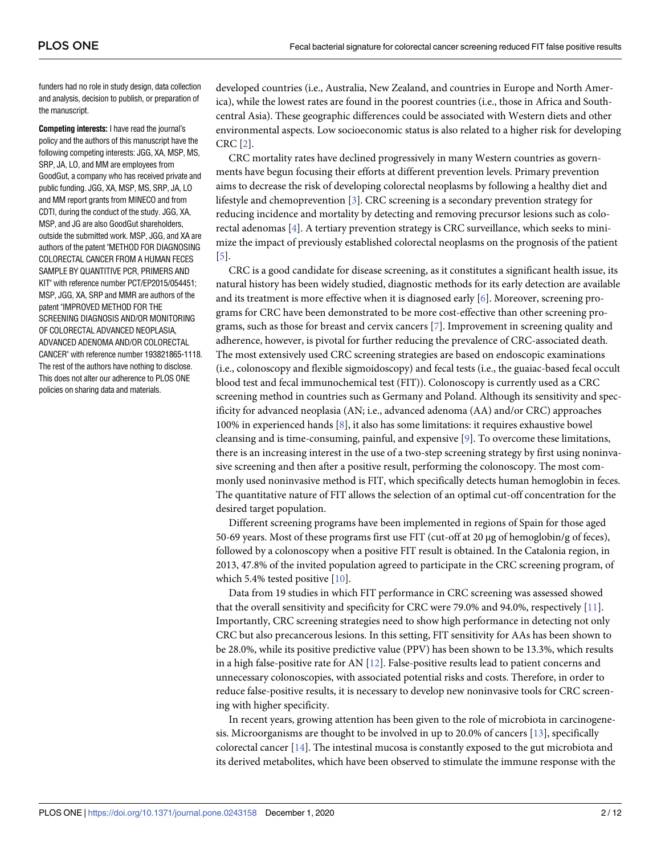<span id="page-1-0"></span>funders had no role in study design, data collection and analysis, decision to publish, or preparation of the manuscript.

**Competing interests:** I have read the journal's policy and the authors of this manuscript have the following competing interests: JGG, XA, MSP, MS, SRP, JA, LO, and MM are employees from GoodGut, a company who has received private and public funding. JGG, XA, MSP, MS, SRP, JA, LO and MM report grants from MINECO and from CDTI, during the conduct of the study. JGG, XA, MSP, and JG are also GoodGut shareholders, outside the submitted work. MSP, JGG, and XA are authors of the patent "METHOD FOR DIAGNOSING COLORECTAL CANCER FROM A HUMAN FECES SAMPLE BY QUANTITIVE PCR, PRIMERS AND KIT" with reference number PCT/EP2015/054451; MSP, JGG, XA, SRP and MMR are authors of the patent "IMPROVED METHOD FOR THE SCREENING DIAGNOSIS AND/OR MONITORING OF COLORECTAL ADVANCED NEOPLASIA, ADVANCED ADENOMA AND/OR COLORECTAL CANCER" with reference number 193821865-1118. The rest of the authors have nothing to disclose. This does not alter our adherence to PLOS ONE policies on sharing data and materials.

developed countries (i.e., Australia, New Zealand, and countries in Europe and North America), while the lowest rates are found in the poorest countries (i.e., those in Africa and Southcentral Asia). These geographic differences could be associated with Western diets and other environmental aspects. Low socioeconomic status is also related to a higher risk for developing CRC [\[2\]](#page-10-0).

CRC mortality rates have declined progressively in many Western countries as governments have begun focusing their efforts at different prevention levels. Primary prevention aims to decrease the risk of developing colorectal neoplasms by following a healthy diet and lifestyle and chemoprevention [[3\]](#page-10-0). CRC screening is a secondary prevention strategy for reducing incidence and mortality by detecting and removing precursor lesions such as colorectal adenomas [\[4](#page-10-0)]. A tertiary prevention strategy is CRC surveillance, which seeks to minimize the impact of previously established colorectal neoplasms on the prognosis of the patient [\[5](#page-10-0)].

CRC is a good candidate for disease screening, as it constitutes a significant health issue, its natural history has been widely studied, diagnostic methods for its early detection are available and its treatment is more effective when it is diagnosed early [\[6\]](#page-10-0). Moreover, screening programs for CRC have been demonstrated to be more cost-effective than other screening programs, such as those for breast and cervix cancers [\[7\]](#page-10-0). Improvement in screening quality and adherence, however, is pivotal for further reducing the prevalence of CRC-associated death. The most extensively used CRC screening strategies are based on endoscopic examinations (i.e., colonoscopy and flexible sigmoidoscopy) and fecal tests (i.e., the guaiac-based fecal occult blood test and fecal immunochemical test (FIT)). Colonoscopy is currently used as a CRC screening method in countries such as Germany and Poland. Although its sensitivity and specificity for advanced neoplasia (AN; i.e., advanced adenoma (AA) and/or CRC) approaches 100% in experienced hands [\[8](#page-10-0)], it also has some limitations: it requires exhaustive bowel cleansing and is time-consuming, painful, and expensive [\[9](#page-10-0)]. To overcome these limitations, there is an increasing interest in the use of a two-step screening strategy by first using noninvasive screening and then after a positive result, performing the colonoscopy. The most commonly used noninvasive method is FIT, which specifically detects human hemoglobin in feces. The quantitative nature of FIT allows the selection of an optimal cut-off concentration for the desired target population.

Different screening programs have been implemented in regions of Spain for those aged 50-69 years. Most of these programs first use FIT (cut-off at 20 μg of hemoglobin/g of feces), followed by a colonoscopy when a positive FIT result is obtained. In the Catalonia region, in 2013, 47.8% of the invited population agreed to participate in the CRC screening program, of which 5.4% tested positive [\[10\]](#page-10-0).

Data from 19 studies in which FIT performance in CRC screening was assessed showed that the overall sensitivity and specificity for CRC were 79.0% and 94.0%, respectively [\[11\]](#page-10-0). Importantly, CRC screening strategies need to show high performance in detecting not only CRC but also precancerous lesions. In this setting, FIT sensitivity for AAs has been shown to be 28.0%, while its positive predictive value (PPV) has been shown to be 13.3%, which results in a high false-positive rate for AN [\[12\]](#page-10-0). False-positive results lead to patient concerns and unnecessary colonoscopies, with associated potential risks and costs. Therefore, in order to reduce false-positive results, it is necessary to develop new noninvasive tools for CRC screening with higher specificity.

In recent years, growing attention has been given to the role of microbiota in carcinogenesis. Microorganisms are thought to be involved in up to 20.0% of cancers [\[13\]](#page-10-0), specifically colorectal cancer [[14](#page-10-0)]. The intestinal mucosa is constantly exposed to the gut microbiota and its derived metabolites, which have been observed to stimulate the immune response with the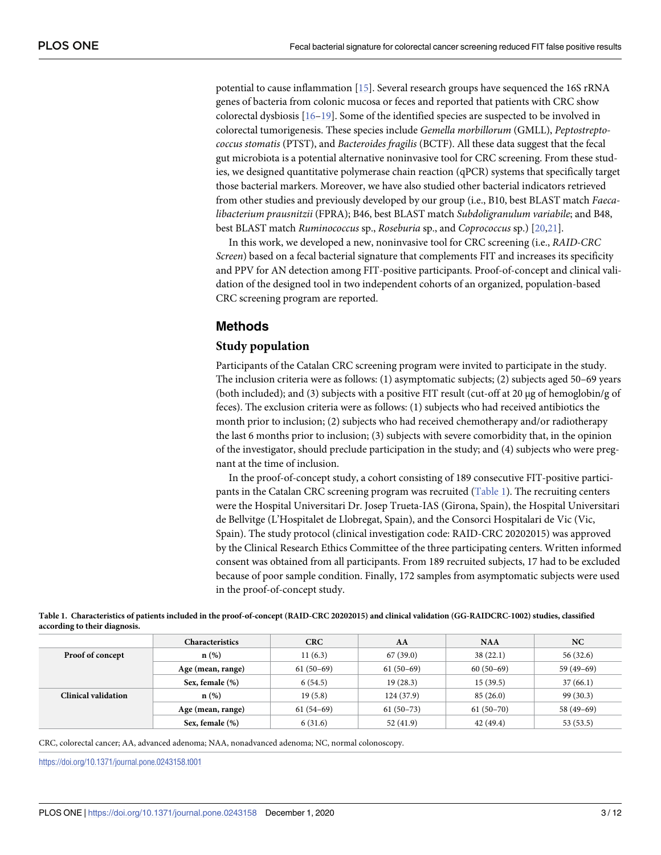<span id="page-2-0"></span>potential to cause inflammation [\[15\]](#page-10-0). Several research groups have sequenced the 16S rRNA genes of bacteria from colonic mucosa or feces and reported that patients with CRC show colorectal dysbiosis [[16–19\]](#page-10-0). Some of the identified species are suspected to be involved in colorectal tumorigenesis. These species include *Gemella morbillorum* (GMLL), *Peptostreptococcus stomatis* (PTST), and *Bacteroides fragilis* (BCTF). All these data suggest that the fecal gut microbiota is a potential alternative noninvasive tool for CRC screening. From these studies, we designed quantitative polymerase chain reaction (qPCR) systems that specifically target those bacterial markers. Moreover, we have also studied other bacterial indicators retrieved from other studies and previously developed by our group (i.e., B10, best BLAST match *Faecalibacterium prausnitzii* (FPRA); B46, best BLAST match *Subdoligranulum variabile*; and B48, best BLAST match *Ruminococcus* sp., *Roseburia* sp., and *Coprococcus* sp.) [[20,21\]](#page-10-0).

In this work, we developed a new, noninvasive tool for CRC screening (i.e., *RAID-CRC Screen*) based on a fecal bacterial signature that complements FIT and increases its specificity and PPV for AN detection among FIT-positive participants. Proof-of-concept and clinical validation of the designed tool in two independent cohorts of an organized, population-based CRC screening program are reported.

# **Methods**

### **Study population**

Participants of the Catalan CRC screening program were invited to participate in the study. The inclusion criteria were as follows: (1) asymptomatic subjects; (2) subjects aged 50–69 years (both included); and (3) subjects with a positive FIT result (cut-off at 20 μg of hemoglobin/g of feces). The exclusion criteria were as follows: (1) subjects who had received antibiotics the month prior to inclusion; (2) subjects who had received chemotherapy and/or radiotherapy the last 6 months prior to inclusion; (3) subjects with severe comorbidity that, in the opinion of the investigator, should preclude participation in the study; and (4) subjects who were pregnant at the time of inclusion.

In the proof-of-concept study, a cohort consisting of 189 consecutive FIT-positive participants in the Catalan CRC screening program was recruited (Table 1). The recruiting centers were the Hospital Universitari Dr. Josep Trueta-IAS (Girona, Spain), the Hospital Universitari de Bellvitge (L'Hospitalet de Llobregat, Spain), and the Consorci Hospitalari de Vic (Vic, Spain). The study protocol (clinical investigation code: RAID-CRC 20202015) was approved by the Clinical Research Ethics Committee of the three participating centers. Written informed consent was obtained from all participants. From 189 recruited subjects, 17 had to be excluded because of poor sample condition. Finally, 172 samples from asymptomatic subjects were used in the proof-of-concept study.

| according to their diagnosis. |                        |             |             |             |             |  |  |  |
|-------------------------------|------------------------|-------------|-------------|-------------|-------------|--|--|--|
|                               | <b>Characteristics</b> | <b>CRC</b>  | AA          | <b>NAA</b>  | NC          |  |  |  |
| Proof of concept              | $n(\%)$                | 11(6.3)     | 67(39.0)    | 38(22.1)    | 56(32.6)    |  |  |  |
|                               | Age (mean, range)      | $61(50-69)$ | $61(50-69)$ | $60(50-69)$ | $59(49-69)$ |  |  |  |
|                               | Sex, female (%)        | 6(54.5)     | 19(28.3)    | 15(39.5)    | 37(66.1)    |  |  |  |
| Clinical validation           | $\mathbf{n}(\%)$       | 19(5.8)     | 124(37.9)   | 85(26.0)    | 99(30.3)    |  |  |  |
|                               | Age (mean, range)      | $61(54-69)$ | $61(50-73)$ | $61(50-70)$ | $58(49-69)$ |  |  |  |
|                               | Sex, female (%)        | 6(31.6)     | 52(41.9)    | 42 (49.4)   | 53 (53.5)   |  |  |  |

Table 1. Characteristics of patients included in the proof-of-concept (RAID-CRC 20202015) and clinical validation (GG-RAIDCRC-1002) studies, classified **according to their diagnosis.**

CRC, colorectal cancer; AA, advanced adenoma; NAA, nonadvanced adenoma; NC, normal colonoscopy.

<https://doi.org/10.1371/journal.pone.0243158.t001>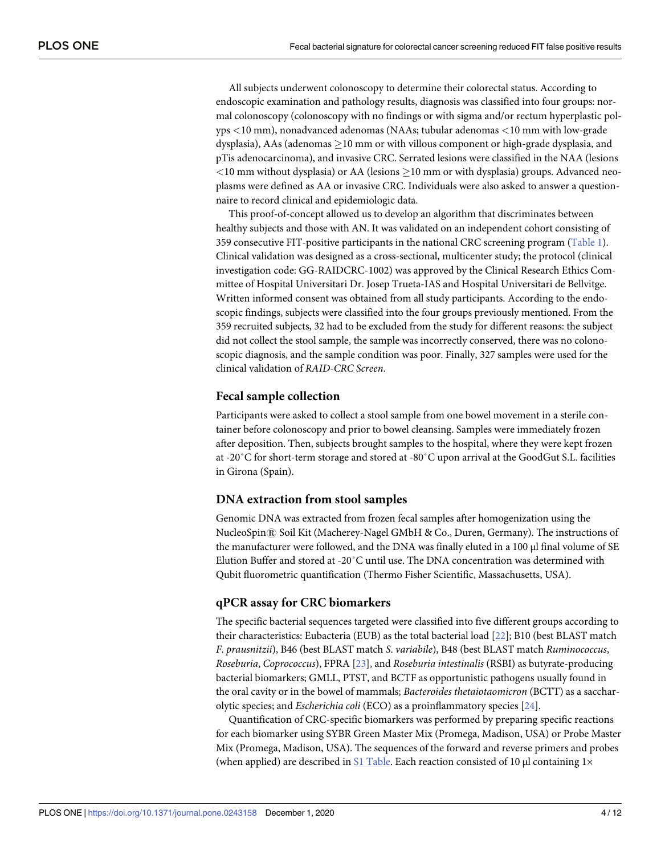<span id="page-3-0"></span>All subjects underwent colonoscopy to determine their colorectal status. According to endoscopic examination and pathology results, diagnosis was classified into four groups: normal colonoscopy (colonoscopy with no findings or with sigma and/or rectum hyperplastic polyps *<*10 mm), nonadvanced adenomas (NAAs; tubular adenomas *<*10 mm with low-grade dysplasia), AAs (adenomas  $>10$  mm or with villous component or high-grade dysplasia, and pTis adenocarcinoma), and invasive CRC. Serrated lesions were classified in the NAA (lesions  $<$ 10 mm without dysplasia) or AA (lesions  $\geq$ 10 mm or with dysplasia) groups. Advanced neoplasms were defined as AA or invasive CRC. Individuals were also asked to answer a questionnaire to record clinical and epidemiologic data.

This proof-of-concept allowed us to develop an algorithm that discriminates between healthy subjects and those with AN. It was validated on an independent cohort consisting of 359 consecutive FIT-positive participants in the national CRC screening program [\(Table](#page-2-0) 1). Clinical validation was designed as a cross-sectional, multicenter study; the protocol (clinical investigation code: GG-RAIDCRC-1002) was approved by the Clinical Research Ethics Committee of Hospital Universitari Dr. Josep Trueta-IAS and Hospital Universitari de Bellvitge. Written informed consent was obtained from all study participants. According to the endoscopic findings, subjects were classified into the four groups previously mentioned. From the 359 recruited subjects, 32 had to be excluded from the study for different reasons: the subject did not collect the stool sample, the sample was incorrectly conserved, there was no colonoscopic diagnosis, and the sample condition was poor. Finally, 327 samples were used for the clinical validation of *RAID-CRC Screen*.

#### **Fecal sample collection**

Participants were asked to collect a stool sample from one bowel movement in a sterile container before colonoscopy and prior to bowel cleansing. Samples were immediately frozen after deposition. Then, subjects brought samples to the hospital, where they were kept frozen at -20˚C for short-term storage and stored at -80˚C upon arrival at the GoodGut S.L. facilities in Girona (Spain).

#### **DNA extraction from stool samples**

Genomic DNA was extracted from frozen fecal samples after homogenization using the NucleoSpin $\Re$  Soil Kit (Macherey-Nagel GMbH & Co., Duren, Germany). The instructions of the manufacturer were followed, and the DNA was finally eluted in a 100 μl final volume of SE Elution Buffer and stored at -20˚C until use. The DNA concentration was determined with Qubit fluorometric quantification (Thermo Fisher Scientific, Massachusetts, USA).

# **qPCR assay for CRC biomarkers**

The specific bacterial sequences targeted were classified into five different groups according to their characteristics: Eubacteria (EUB) as the total bacterial load [[22](#page-11-0)]; B10 (best BLAST match *F*. *prausnitzii*), B46 (best BLAST match *S*. *variabile*), B48 (best BLAST match *Ruminococcus*, *Roseburia*, *Coprococcus*), FPRA [[23](#page-11-0)], and *Roseburia intestinalis* (RSBI) as butyrate-producing bacterial biomarkers; GMLL, PTST, and BCTF as opportunistic pathogens usually found in the oral cavity or in the bowel of mammals; *Bacteroides thetaiotaomicron* (BCTT) as a saccharolytic species; and *Escherichia coli* (ECO) as a proinflammatory species [[24](#page-11-0)].

Quantification of CRC-specific biomarkers was performed by preparing specific reactions for each biomarker using SYBR Green Master Mix (Promega, Madison, USA) or Probe Master Mix (Promega, Madison, USA). The sequences of the forward and reverse primers and probes (when applied) are described in S1 [Table.](#page-8-0) Each reaction consisted of 10  $\mu$ l containing 1 $\times$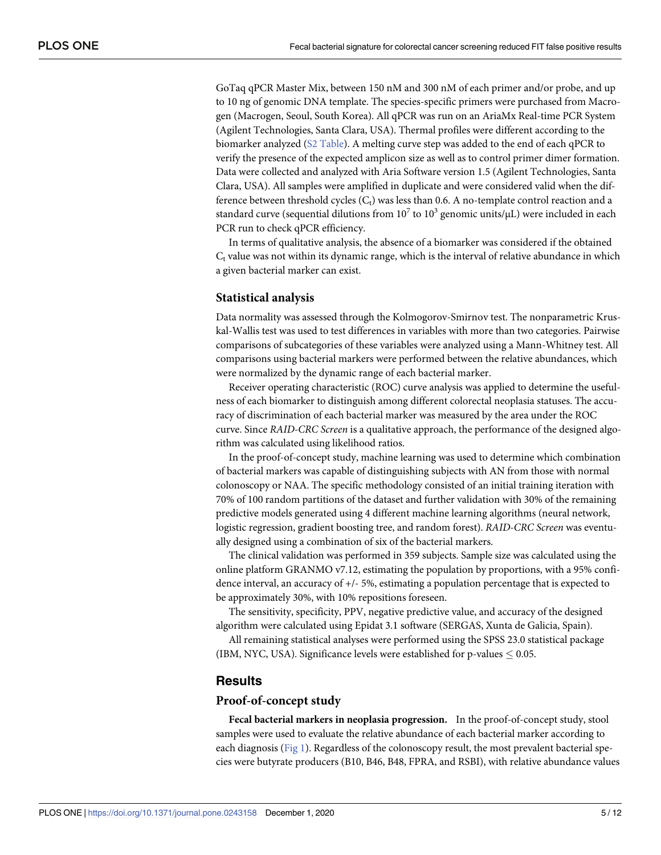<span id="page-4-0"></span>GoTaq qPCR Master Mix, between 150 nM and 300 nM of each primer and/or probe, and up to 10 ng of genomic DNA template. The species-specific primers were purchased from Macrogen (Macrogen, Seoul, South Korea). All qPCR was run on an AriaMx Real-time PCR System (Agilent Technologies, Santa Clara, USA). Thermal profiles were different according to the biomarker analyzed (S2 [Table\)](#page-9-0). A melting curve step was added to the end of each qPCR to verify the presence of the expected amplicon size as well as to control primer dimer formation. Data were collected and analyzed with Aria Software version 1.5 (Agilent Technologies, Santa Clara, USA). All samples were amplified in duplicate and were considered valid when the difference between threshold cycles  $(C_t)$  was less than 0.6. A no-template control reaction and a standard curve (sequential dilutions from  $10^7$  to  $10^3$  genomic units/ $\mu$ L) were included in each PCR run to check qPCR efficiency.

In terms of qualitative analysis, the absence of a biomarker was considered if the obtained  $C_t$  value was not within its dynamic range, which is the interval of relative abundance in which a given bacterial marker can exist.

#### **Statistical analysis**

Data normality was assessed through the Kolmogorov-Smirnov test. The nonparametric Kruskal-Wallis test was used to test differences in variables with more than two categories. Pairwise comparisons of subcategories of these variables were analyzed using a Mann-Whitney test. All comparisons using bacterial markers were performed between the relative abundances, which were normalized by the dynamic range of each bacterial marker.

Receiver operating characteristic (ROC) curve analysis was applied to determine the usefulness of each biomarker to distinguish among different colorectal neoplasia statuses. The accuracy of discrimination of each bacterial marker was measured by the area under the ROC curve. Since *RAID-CRC Screen* is a qualitative approach, the performance of the designed algorithm was calculated using likelihood ratios.

In the proof-of-concept study, machine learning was used to determine which combination of bacterial markers was capable of distinguishing subjects with AN from those with normal colonoscopy or NAA. The specific methodology consisted of an initial training iteration with 70% of 100 random partitions of the dataset and further validation with 30% of the remaining predictive models generated using 4 different machine learning algorithms (neural network, logistic regression, gradient boosting tree, and random forest). *RAID-CRC Screen* was eventually designed using a combination of six of the bacterial markers.

The clinical validation was performed in 359 subjects. Sample size was calculated using the online platform GRANMO v7.12, estimating the population by proportions, with a 95% confidence interval, an accuracy of +/- 5%, estimating a population percentage that is expected to be approximately 30%, with 10% repositions foreseen.

The sensitivity, specificity, PPV, negative predictive value, and accuracy of the designed algorithm were calculated using Epidat 3.1 software (SERGAS, Xunta de Galicia, Spain).

All remaining statistical analyses were performed using the SPSS 23.0 statistical package (IBM, NYC, USA). Significance levels were established for p-values  $\leq 0.05$ .

#### **Results**

#### **Proof-of-concept study**

**Fecal bacterial markers in neoplasia progression.** In the proof-of-concept study, stool samples were used to evaluate the relative abundance of each bacterial marker according to each diagnosis [\(Fig](#page-5-0) 1). Regardless of the colonoscopy result, the most prevalent bacterial species were butyrate producers (B10, B46, B48, FPRA, and RSBI), with relative abundance values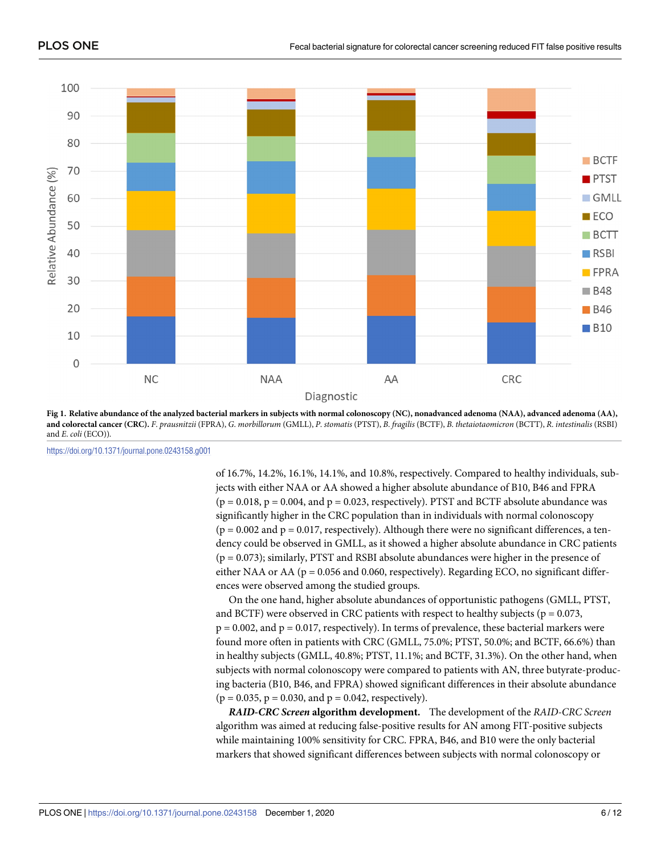<span id="page-5-0"></span>

[Fig](#page-4-0) 1. Relative abundance of the analyzed bacterial markers in subjects with normal colonoscopy (NC), nonadvanced adenoma (NAA), advanced adenoma (AA), and colorectal cancer (CRC). F. prausnitzii (FPRA), G. morbillorum (GMLL), P. stomatis (PTST), B. fragilis (BCTF), B. thetaiotaomicron (BCTT), R. intestinalis (RSBI) and *E*. *coli* (ECO)).

<https://doi.org/10.1371/journal.pone.0243158.g001>

of 16.7%, 14.2%, 16.1%, 14.1%, and 10.8%, respectively. Compared to healthy individuals, subjects with either NAA or AA showed a higher absolute abundance of B10, B46 and FPRA  $(p = 0.018, p = 0.004, and p = 0.023, respectively)$ . PTST and BCTF absolute abundance was significantly higher in the CRC population than in individuals with normal colonoscopy  $(p = 0.002$  and  $p = 0.017$ , respectively). Although there were no significant differences, a tendency could be observed in GMLL, as it showed a higher absolute abundance in CRC patients (p = 0.073); similarly, PTST and RSBI absolute abundances were higher in the presence of either NAA or AA ( $p = 0.056$  and 0.060, respectively). Regarding ECO, no significant differences were observed among the studied groups.

On the one hand, higher absolute abundances of opportunistic pathogens (GMLL, PTST, and BCTF) were observed in CRC patients with respect to healthy subjects ( $p = 0.073$ ,  $p = 0.002$ , and  $p = 0.017$ , respectively). In terms of prevalence, these bacterial markers were found more often in patients with CRC (GMLL, 75.0%; PTST, 50.0%; and BCTF, 66.6%) than in healthy subjects (GMLL, 40.8%; PTST, 11.1%; and BCTF, 31.3%). On the other hand, when subjects with normal colonoscopy were compared to patients with AN, three butyrate-producing bacteria (B10, B46, and FPRA) showed significant differences in their absolute abundance  $(p = 0.035, p = 0.030, and p = 0.042, respectively).$ 

*RAID-CRC Screen* **algorithm development.** The development of the *RAID-CRC Screen* algorithm was aimed at reducing false-positive results for AN among FIT-positive subjects while maintaining 100% sensitivity for CRC. FPRA, B46, and B10 were the only bacterial markers that showed significant differences between subjects with normal colonoscopy or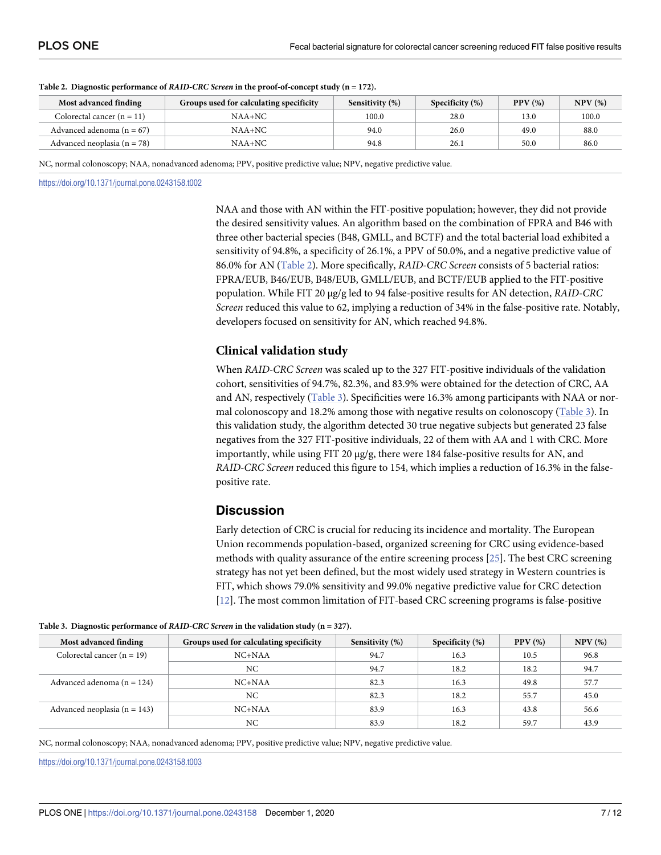| Most advanced finding           | Groups used for calculating specificity | Sensitivity (%) | Specificity $(\%)$ | PPV(%) | NPV(%) |
|---------------------------------|-----------------------------------------|-----------------|--------------------|--------|--------|
| Colorectal cancer $(n = 11)$    | $NAA+NC$                                | 100.0           | 28.0               | 13.0   | 100.0  |
| Advanced adenoma $(n = 67)$     | $NAA+NC$                                | 94.0            | 26.0               | 49.0   | 88.0   |
| Advanced neoplasia ( $n = 78$ ) | $NAA+NC$                                | 94.8            | 26.1               | 50.0   | 86.0   |

#### <span id="page-6-0"></span>**Table 2. Diagnostic performance of** *RAID-CRC Screen* **in the proof-of-concept study (n = 172).**

NC, normal colonoscopy; NAA, nonadvanced adenoma; PPV, positive predictive value; NPV, negative predictive value.

<https://doi.org/10.1371/journal.pone.0243158.t002>

NAA and those with AN within the FIT-positive population; however, they did not provide the desired sensitivity values. An algorithm based on the combination of FPRA and B46 with three other bacterial species (B48, GMLL, and BCTF) and the total bacterial load exhibited a sensitivity of 94.8%, a specificity of 26.1%, a PPV of 50.0%, and a negative predictive value of 86.0% for AN (Table 2). More specifically, *RAID-CRC Screen* consists of 5 bacterial ratios: FPRA/EUB, B46/EUB, B48/EUB, GMLL/EUB, and BCTF/EUB applied to the FIT-positive population. While FIT 20 μg/g led to 94 false-positive results for AN detection, *RAID-CRC Screen* reduced this value to 62, implying a reduction of 34% in the false-positive rate. Notably, developers focused on sensitivity for AN, which reached 94.8%.

# **Clinical validation study**

When *RAID-CRC Screen* was scaled up to the 327 FIT-positive individuals of the validation cohort, sensitivities of 94.7%, 82.3%, and 83.9% were obtained for the detection of CRC, AA and AN, respectively (Table 3). Specificities were 16.3% among participants with NAA or normal colonoscopy and 18.2% among those with negative results on colonoscopy (Table 3). In this validation study, the algorithm detected 30 true negative subjects but generated 23 false negatives from the 327 FIT-positive individuals, 22 of them with AA and 1 with CRC. More importantly, while using FIT 20 μg/g, there were 184 false-positive results for AN, and *RAID-CRC Screen* reduced this figure to 154, which implies a reduction of 16.3% in the falsepositive rate.

# **Discussion**

Early detection of CRC is crucial for reducing its incidence and mortality. The European Union recommends population-based, organized screening for CRC using evidence-based methods with quality assurance of the entire screening process [[25](#page-11-0)]. The best CRC screening strategy has not yet been defined, but the most widely used strategy in Western countries is FIT, which shows 79.0% sensitivity and 99.0% negative predictive value for CRC detection [\[12\]](#page-10-0). The most common limitation of FIT-based CRC screening programs is false-positive

| Most advanced finding            | Groups used for calculating specificity | Sensitivity (%) | Specificity $(\%)$ | PPV(%) | NPV(%) |
|----------------------------------|-----------------------------------------|-----------------|--------------------|--------|--------|
| Colorectal cancer $(n = 19)$     | $NC+NAA$                                | 94.7            | 16.3               | 10.5   | 96.8   |
|                                  | NC                                      | 94.7            | 18.2               | 18.2   | 94.7   |
| Advanced adenoma $(n = 124)$     | $NC+NAA$                                | 82.3            | 16.3               | 49.8   | 57.7   |
|                                  | NC                                      | 82.3            | 18.2               | 55.7   | 45.0   |
| Advanced neoplasia ( $n = 143$ ) | $NC+NAA$                                | 83.9            | 16.3               | 43.8   | 56.6   |
|                                  | NC                                      | 83.9            | 18.2               | 59.7   | 43.9   |

**Table 3. Diagnostic performance of** *RAID-CRC Screen* **in the validation study (n = 327).**

NC, normal colonoscopy; NAA, nonadvanced adenoma; PPV, positive predictive value; NPV, negative predictive value.

<https://doi.org/10.1371/journal.pone.0243158.t003>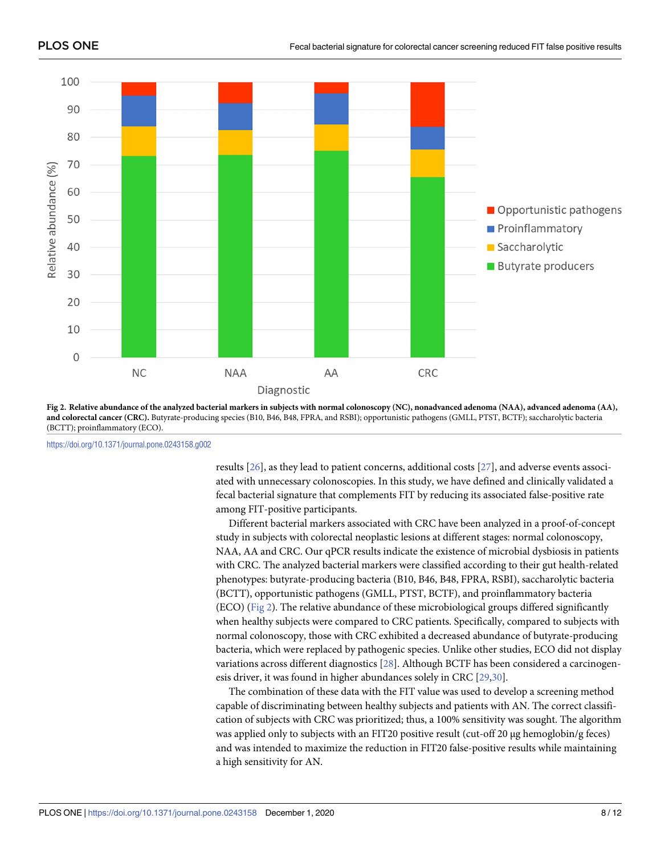<span id="page-7-0"></span>

Fig 2. Relative abundance of the analyzed bacterial markers in subjects with normal colonoscopy (NC), nonadvanced adenoma (NAA), advanced adenoma (AA), **and colorectal cancer (CRC).** Butyrate-producing species (B10, B46, B48, FPRA, and RSBI); opportunistic pathogens (GMLL, PTST, BCTF); saccharolytic bacteria (BCTT); proinflammatory (ECO).

<https://doi.org/10.1371/journal.pone.0243158.g002>

results [\[26\]](#page-11-0), as they lead to patient concerns, additional costs [\[27\]](#page-11-0), and adverse events associated with unnecessary colonoscopies. In this study, we have defined and clinically validated a fecal bacterial signature that complements FIT by reducing its associated false-positive rate among FIT-positive participants.

Different bacterial markers associated with CRC have been analyzed in a proof-of-concept study in subjects with colorectal neoplastic lesions at different stages: normal colonoscopy, NAA, AA and CRC. Our qPCR results indicate the existence of microbial dysbiosis in patients with CRC. The analyzed bacterial markers were classified according to their gut health-related phenotypes: butyrate-producing bacteria (B10, B46, B48, FPRA, RSBI), saccharolytic bacteria (BCTT), opportunistic pathogens (GMLL, PTST, BCTF), and proinflammatory bacteria (ECO) (Fig 2). The relative abundance of these microbiological groups differed significantly when healthy subjects were compared to CRC patients. Specifically, compared to subjects with normal colonoscopy, those with CRC exhibited a decreased abundance of butyrate-producing bacteria, which were replaced by pathogenic species. Unlike other studies, ECO did not display variations across different diagnostics [\[28\]](#page-11-0). Although BCTF has been considered a carcinogenesis driver, it was found in higher abundances solely in CRC [[29](#page-11-0),[30](#page-11-0)].

The combination of these data with the FIT value was used to develop a screening method capable of discriminating between healthy subjects and patients with AN. The correct classification of subjects with CRC was prioritized; thus, a 100% sensitivity was sought. The algorithm was applied only to subjects with an FIT20 positive result (cut-off 20 μg hemoglobin/g feces) and was intended to maximize the reduction in FIT20 false-positive results while maintaining a high sensitivity for AN.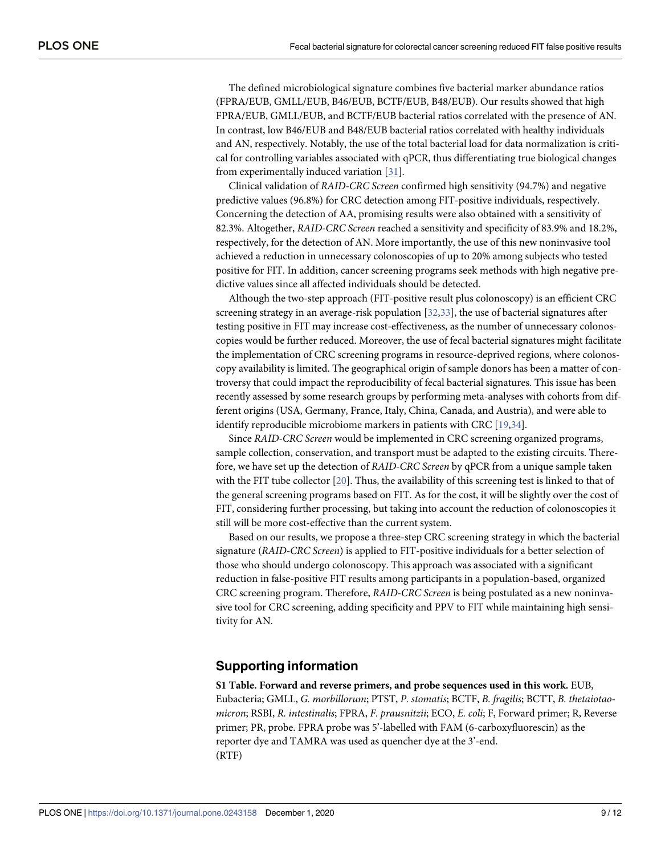<span id="page-8-0"></span>The defined microbiological signature combines five bacterial marker abundance ratios (FPRA/EUB, GMLL/EUB, B46/EUB, BCTF/EUB, B48/EUB). Our results showed that high FPRA/EUB, GMLL/EUB, and BCTF/EUB bacterial ratios correlated with the presence of AN. In contrast, low B46/EUB and B48/EUB bacterial ratios correlated with healthy individuals and AN, respectively. Notably, the use of the total bacterial load for data normalization is critical for controlling variables associated with qPCR, thus differentiating true biological changes from experimentally induced variation [[31](#page-11-0)].

Clinical validation of *RAID-CRC Screen* confirmed high sensitivity (94.7%) and negative predictive values (96.8%) for CRC detection among FIT-positive individuals, respectively. Concerning the detection of AA, promising results were also obtained with a sensitivity of 82.3%. Altogether, *RAID-CRC Screen* reached a sensitivity and specificity of 83.9% and 18.2%, respectively, for the detection of AN. More importantly, the use of this new noninvasive tool achieved a reduction in unnecessary colonoscopies of up to 20% among subjects who tested positive for FIT. In addition, cancer screening programs seek methods with high negative predictive values since all affected individuals should be detected.

Although the two-step approach (FIT-positive result plus colonoscopy) is an efficient CRC screening strategy in an average-risk population [\[32,33](#page-11-0)], the use of bacterial signatures after testing positive in FIT may increase cost-effectiveness, as the number of unnecessary colonoscopies would be further reduced. Moreover, the use of fecal bacterial signatures might facilitate the implementation of CRC screening programs in resource-deprived regions, where colonoscopy availability is limited. The geographical origin of sample donors has been a matter of controversy that could impact the reproducibility of fecal bacterial signatures. This issue has been recently assessed by some research groups by performing meta-analyses with cohorts from different origins (USA, Germany, France, Italy, China, Canada, and Austria), and were able to identify reproducible microbiome markers in patients with CRC [[19](#page-10-0)[,34\]](#page-11-0).

Since *RAID-CRC Screen* would be implemented in CRC screening organized programs, sample collection, conservation, and transport must be adapted to the existing circuits. Therefore, we have set up the detection of *RAID-CRC Screen* by qPCR from a unique sample taken with the FIT tube collector [\[20\]](#page-10-0). Thus, the availability of this screening test is linked to that of the general screening programs based on FIT. As for the cost, it will be slightly over the cost of FIT, considering further processing, but taking into account the reduction of colonoscopies it still will be more cost-effective than the current system.

Based on our results, we propose a three-step CRC screening strategy in which the bacterial signature (*RAID-CRC Screen*) is applied to FIT-positive individuals for a better selection of those who should undergo colonoscopy. This approach was associated with a significant reduction in false-positive FIT results among participants in a population-based, organized CRC screening program. Therefore, *RAID-CRC Screen* is being postulated as a new noninvasive tool for CRC screening, adding specificity and PPV to FIT while maintaining high sensitivity for AN.

# **Supporting information**

**S1 [Table.](http://www.plosone.org/article/fetchSingleRepresentation.action?uri=info:doi/10.1371/journal.pone.0243158.s001) Forward and reverse primers, and probe sequences used in this work.** EUB, Eubacteria; GMLL, *G. morbillorum*; PTST, *P. stomatis*; BCTF, *B. fragilis*; BCTT, *B. thetaiotaomicron*; RSBI, *R. intestinalis*; FPRA, *F. prausnitzii*; ECO, *E. coli*; F, Forward primer; R, Reverse primer; PR, probe. FPRA probe was 5'-labelled with FAM (6-carboxyfluorescin) as the reporter dye and TAMRA was used as quencher dye at the 3'-end. (RTF)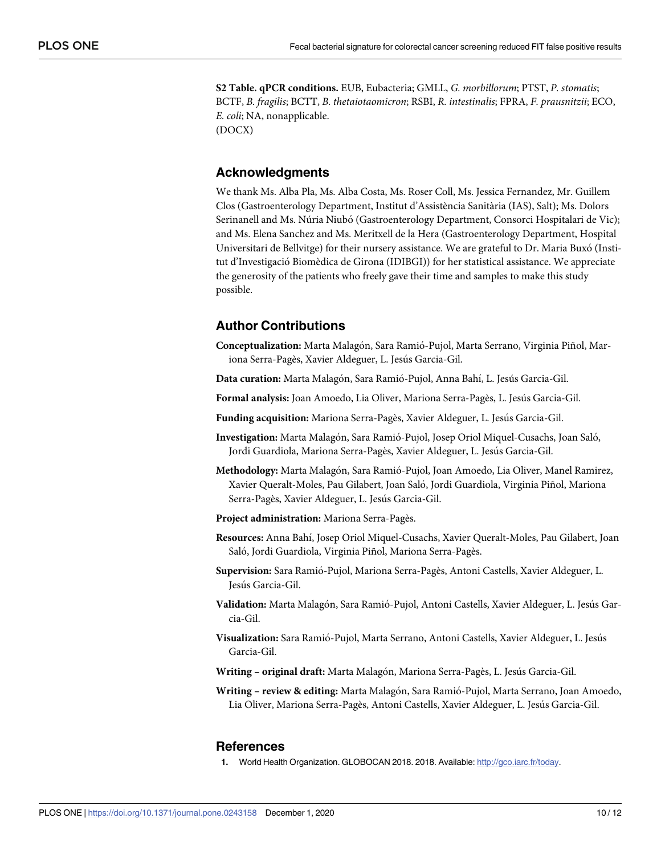<span id="page-9-0"></span>**S2 [Table.](http://www.plosone.org/article/fetchSingleRepresentation.action?uri=info:doi/10.1371/journal.pone.0243158.s002) qPCR conditions.** EUB, Eubacteria; GMLL, *G. morbillorum*; PTST, *P. stomatis*; BCTF, *B. fragilis*; BCTT, *B. thetaiotaomicron*; RSBI, *R. intestinalis*; FPRA, *F. prausnitzii*; ECO, *E. coli*; NA, nonapplicable. (DOCX)

**Acknowledgments**

We thank Ms. Alba Pla, Ms. Alba Costa, Ms. Roser Coll, Ms. Jessica Fernandez, Mr. Guillem Clos (Gastroenterology Department, Institut d'Assistència Sanitària (IAS), Salt); Ms. Dolors Serinanell and Ms. Núria Niubó (Gastroenterology Department, Consorci Hospitalari de Vic); and Ms. Elena Sanchez and Ms. Meritxell de la Hera (Gastroenterology Department, Hospital Universitari de Bellvitge) for their nursery assistance. We are grateful to Dr. Maria Buxó (Institut d'Investigacio´ Biomèdica de Girona (IDIBGI)) for her statistical assistance. We appreciate the generosity of the patients who freely gave their time and samples to make this study possible.

# **Author Contributions**

- **Conceptualization:** Marta Malago´n, Sara Ramio´-Pujol, Marta Serrano, Virginia Piñol, Mariona Serra-Pagès, Xavier Aldeguer, L. Jesús Garcia-Gil.
- Data curation: Marta Malagón, Sara Ramió-Pujol, Anna Bahí, L. Jesús Garcia-Gil.

**Formal analysis:** Joan Amoedo, Lia Oliver, Mariona Serra-Pagès, L. Jesu´s Garcia-Gil.

- **Funding acquisition:** Mariona Serra-Pagès, Xavier Aldeguer, L. Jesús Garcia-Gil.
- Investigation: Marta Malagón, Sara Ramió-Pujol, Josep Oriol Miquel-Cusachs, Joan Saló, Jordi Guardiola, Mariona Serra-Pagès, Xavier Aldeguer, L. Jesús Garcia-Gil.
- Methodology: Marta Malagón, Sara Ramió-Pujol, Joan Amoedo, Lia Oliver, Manel Ramirez, Xavier Queralt-Moles, Pau Gilabert, Joan Salo´, Jordi Guardiola, Virginia Piñol, Mariona Serra-Pagès, Xavier Aldeguer, L. Jesús Garcia-Gil.
- **Project administration:** Mariona Serra-Pagès.
- **Resources:** Anna Bahı´, Josep Oriol Miquel-Cusachs, Xavier Queralt-Moles, Pau Gilabert, Joan Saló, Jordi Guardiola, Virginia Piñol, Mariona Serra-Pagès.
- **Supervision:** Sara Ramio´-Pujol, Mariona Serra-Pagès, Antoni Castells, Xavier Aldeguer, L. Jesús Garcia-Gil.
- Validation: Marta Malagón, Sara Ramió-Pujol, Antoni Castells, Xavier Aldeguer, L. Jesús Garcia-Gil.
- **Visualization:** Sara Ramio´-Pujol, Marta Serrano, Antoni Castells, Xavier Aldeguer, L. Jesu´s Garcia-Gil.
- **Writing – original draft:** Marta Malago´n, Mariona Serra-Pagès, L. Jesu´s Garcia-Gil.
- **Writing – review & editing:** Marta Malago´n, Sara Ramio´-Pujol, Marta Serrano, Joan Amoedo, Lia Oliver, Mariona Serra-Pagès, Antoni Castells, Xavier Aldeguer, L. Jesús Garcia-Gil.

#### **References**

**[1](#page-0-0).** World Health Organization. GLOBOCAN 2018. 2018. Available: [http://gco.iarc.fr/today.](http://gco.iarc.fr/today)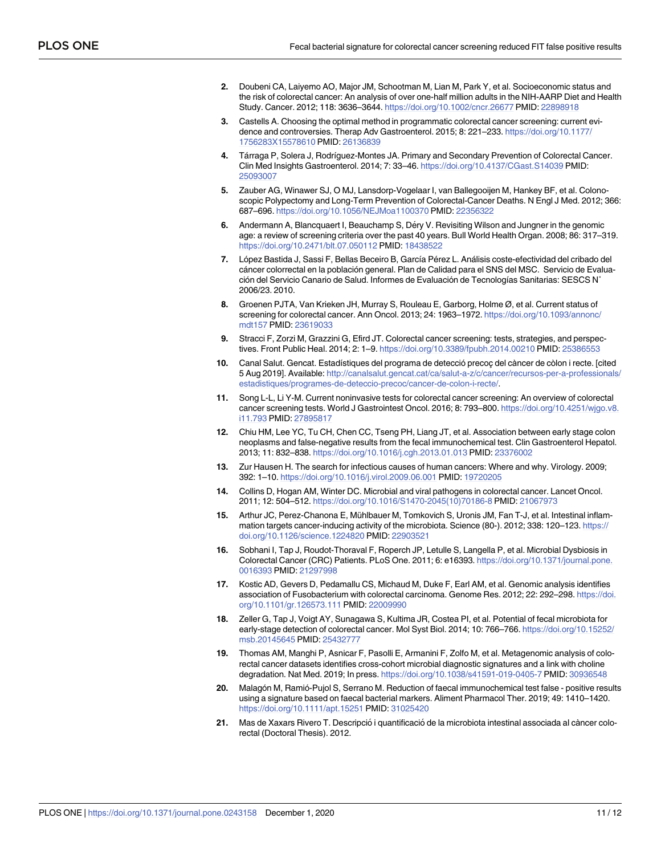- <span id="page-10-0"></span>**[2](#page-1-0).** Doubeni CA, Laiyemo AO, Major JM, Schootman M, Lian M, Park Y, et al. Socioeconomic status and the risk of colorectal cancer: An analysis of over one-half million adults in the NIH-AARP Diet and Health Study. Cancer. 2012; 118: 3636–3644. <https://doi.org/10.1002/cncr.26677> PMID: [22898918](http://www.ncbi.nlm.nih.gov/pubmed/22898918)
- **[3](#page-1-0).** Castells A. Choosing the optimal method in programmatic colorectal cancer screening: current evidence and controversies. Therap Adv Gastroenterol. 2015; 8: 221–233. [https://doi.org/10.1177/](https://doi.org/10.1177/1756283X15578610) [1756283X15578610](https://doi.org/10.1177/1756283X15578610) PMID: [26136839](http://www.ncbi.nlm.nih.gov/pubmed/26136839)
- **[4](#page-1-0).** Ta´rraga P, Solera J, Rodrı´guez-Montes JA. Primary and Secondary Prevention of Colorectal Cancer. Clin Med Insights Gastroenterol. 2014; 7: 33–46. <https://doi.org/10.4137/CGast.S14039> PMID: [25093007](http://www.ncbi.nlm.nih.gov/pubmed/25093007)
- **[5](#page-1-0).** Zauber AG, Winawer SJ, O MJ, Lansdorp-Vogelaar I, van Ballegooijen M, Hankey BF, et al. Colonoscopic Polypectomy and Long-Term Prevention of Colorectal-Cancer Deaths. N Engl J Med. 2012; 366: 687–696. <https://doi.org/10.1056/NEJMoa1100370> PMID: [22356322](http://www.ncbi.nlm.nih.gov/pubmed/22356322)
- **[6](#page-1-0).** Andermann A, Blancquaert I, Beauchamp S, Déry V. Revisiting Wilson and Jungner in the genomic age: a review of screening criteria over the past 40 years. Bull World Health Organ. 2008; 86: 317–319. <https://doi.org/10.2471/blt.07.050112> PMID: [18438522](http://www.ncbi.nlm.nih.gov/pubmed/18438522)
- **[7](#page-1-0).** López Bastida J, Sassi F, Bellas Beceiro B, García Pérez L. Análisis coste-efectividad del cribado del cáncer colorrectal en la población general. Plan de Calidad para el SNS del MSC. Servicio de Evaluación del Servicio Canario de Salud. Informes de Evaluación de Tecnologías Sanitarias: SESCS N° 2006/23. 2010.
- **[8](#page-1-0).** Groenen PJTA, Van Krieken JH, Murray S, Rouleau E, Garborg, Holme Ø, et al. Current status of screening for colorectal cancer. Ann Oncol. 2013; 24: 1963-1972. [https://doi.org/10.1093/annonc/](https://doi.org/10.1093/annonc/mdt157) [mdt157](https://doi.org/10.1093/annonc/mdt157) PMID: [23619033](http://www.ncbi.nlm.nih.gov/pubmed/23619033)
- **[9](#page-1-0).** Stracci F, Zorzi M, Grazzini G, Efird JT. Colorectal cancer screening: tests, strategies, and perspectives. Front Public Heal. 2014; 2: 1–9. <https://doi.org/10.3389/fpubh.2014.00210> PMID: [25386553](http://www.ncbi.nlm.nih.gov/pubmed/25386553)
- [10](#page-1-0). Canal Salut. Gencat. Estadístiques del programa de detecció precoç del càncer de còlon i recte. [cited 5 Aug 2019]. Available: [http://canalsalut.gencat.cat/ca/salut-a-z/c/cancer/recursos-per-a-professionals/](http://canalsalut.gencat.cat/ca/salut-a-z/c/cancer/recursos-per-a-professionals/estadistiques/programes-de-deteccio-precoc/cancer-de-colon-i-recte/) [estadistiques/programes-de-deteccio-precoc/cancer-de-colon-i-recte/.](http://canalsalut.gencat.cat/ca/salut-a-z/c/cancer/recursos-per-a-professionals/estadistiques/programes-de-deteccio-precoc/cancer-de-colon-i-recte/)
- **[11](#page-1-0).** Song L-L, Li Y-M. Current noninvasive tests for colorectal cancer screening: An overview of colorectal cancer screening tests. World J Gastrointest Oncol. 2016; 8: 793–800. [https://doi.org/10.4251/wjgo.v8.](https://doi.org/10.4251/wjgo.v8.i11.793) [i11.793](https://doi.org/10.4251/wjgo.v8.i11.793) PMID: [27895817](http://www.ncbi.nlm.nih.gov/pubmed/27895817)
- **[12](#page-1-0).** Chiu HM, Lee YC, Tu CH, Chen CC, Tseng PH, Liang JT, et al. Association between early stage colon neoplasms and false-negative results from the fecal immunochemical test. Clin Gastroenterol Hepatol. 2013; 11: 832–838. <https://doi.org/10.1016/j.cgh.2013.01.013> PMID: [23376002](http://www.ncbi.nlm.nih.gov/pubmed/23376002)
- **[13](#page-1-0).** Zur Hausen H. The search for infectious causes of human cancers: Where and why. Virology. 2009; 392: 1–10. <https://doi.org/10.1016/j.virol.2009.06.001> PMID: [19720205](http://www.ncbi.nlm.nih.gov/pubmed/19720205)
- **[14](#page-1-0).** Collins D, Hogan AM, Winter DC. Microbial and viral pathogens in colorectal cancer. Lancet Oncol. 2011; 12: 504–512. [https://doi.org/10.1016/S1470-2045\(10\)70186-8](https://doi.org/10.1016/S1470-2045%2810%2970186-8) PMID: [21067973](http://www.ncbi.nlm.nih.gov/pubmed/21067973)
- **[15](#page-2-0).** Arthur JC, Perez-Chanona E, Mühlbauer M, Tomkovich S, Uronis JM, Fan T-J, et al. Intestinal inflammation targets cancer-inducing activity of the microbiota. Science (80-). 2012; 338: 120-123. [https://](https://doi.org/10.1126/science.1224820) [doi.org/10.1126/science.1224820](https://doi.org/10.1126/science.1224820) PMID: [22903521](http://www.ncbi.nlm.nih.gov/pubmed/22903521)
- **[16](#page-2-0).** Sobhani I, Tap J, Roudot-Thoraval F, Roperch JP, Letulle S, Langella P, et al. Microbial Dysbiosis in Colorectal Cancer (CRC) Patients. PLoS One. 2011; 6: e16393. [https://doi.org/10.1371/journal.pone.](https://doi.org/10.1371/journal.pone.0016393) [0016393](https://doi.org/10.1371/journal.pone.0016393) PMID: [21297998](http://www.ncbi.nlm.nih.gov/pubmed/21297998)
- **17.** Kostic AD, Gevers D, Pedamallu CS, Michaud M, Duke F, Earl AM, et al. Genomic analysis identifies association of Fusobacterium with colorectal carcinoma. Genome Res. 2012; 22: 292–298. [https://doi.](https://doi.org/10.1101/gr.126573.111) [org/10.1101/gr.126573.111](https://doi.org/10.1101/gr.126573.111) PMID: [22009990](http://www.ncbi.nlm.nih.gov/pubmed/22009990)
- **18.** Zeller G, Tap J, Voigt AY, Sunagawa S, Kultima JR, Costea PI, et al. Potential of fecal microbiota for early-stage detection of colorectal cancer. Mol Syst Biol. 2014; 10: 766–766. [https://doi.org/10.15252/](https://doi.org/10.15252/msb.20145645) [msb.20145645](https://doi.org/10.15252/msb.20145645) PMID: [25432777](http://www.ncbi.nlm.nih.gov/pubmed/25432777)
- **[19](#page-2-0).** Thomas AM, Manghi P, Asnicar F, Pasolli E, Armanini F, Zolfo M, et al. Metagenomic analysis of colorectal cancer datasets identifies cross-cohort microbial diagnostic signatures and a link with choline degradation. Nat Med. 2019; In press. <https://doi.org/10.1038/s41591-019-0405-7> PMID: [30936548](http://www.ncbi.nlm.nih.gov/pubmed/30936548)
- **[20](#page-2-0).** Malago´n M, Ramio´-Pujol S, Serrano M. Reduction of faecal immunochemical test false positive results using a signature based on faecal bacterial markers. Aliment Pharmacol Ther. 2019; 49: 1410–1420. <https://doi.org/10.1111/apt.15251> PMID: [31025420](http://www.ncbi.nlm.nih.gov/pubmed/31025420)
- [21](#page-2-0). Mas de Xaxars Rivero T. Descripció i quantificació de la microbiota intestinal associada al càncer colorectal (Doctoral Thesis). 2012.